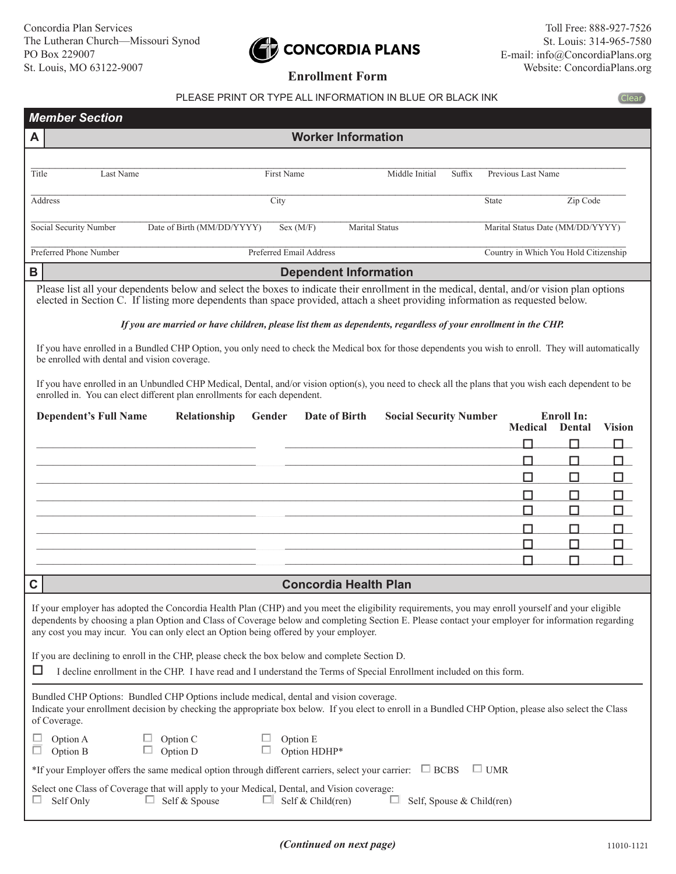## CONCORDIA PLANS

(Clear)

## PLEASE PRINT OR TYPE ALL INFORMATION IN BLUE OR BLACK INK

|                                                                                                                                                                                                                                                                | <b>Member Section</b>                                                                                                                                                                                                                                                                                                                                                                          |                                    |                                    |                       |                               |        |                                       |                                    |               |
|----------------------------------------------------------------------------------------------------------------------------------------------------------------------------------------------------------------------------------------------------------------|------------------------------------------------------------------------------------------------------------------------------------------------------------------------------------------------------------------------------------------------------------------------------------------------------------------------------------------------------------------------------------------------|------------------------------------|------------------------------------|-----------------------|-------------------------------|--------|---------------------------------------|------------------------------------|---------------|
| A                                                                                                                                                                                                                                                              |                                                                                                                                                                                                                                                                                                                                                                                                |                                    | <b>Worker Information</b>          |                       |                               |        |                                       |                                    |               |
|                                                                                                                                                                                                                                                                |                                                                                                                                                                                                                                                                                                                                                                                                |                                    |                                    |                       |                               |        |                                       |                                    |               |
| Title                                                                                                                                                                                                                                                          | Last Name                                                                                                                                                                                                                                                                                                                                                                                      |                                    | First Name                         |                       | Middle Initial                | Suffix | Previous Last Name                    |                                    |               |
|                                                                                                                                                                                                                                                                | Address                                                                                                                                                                                                                                                                                                                                                                                        |                                    | City                               |                       |                               |        | State                                 | Zip Code                           |               |
|                                                                                                                                                                                                                                                                | Social Security Number                                                                                                                                                                                                                                                                                                                                                                         | Date of Birth (MM/DD/YYYY)         | Sex (M/F)                          | <b>Marital Status</b> |                               |        | Marital Status Date (MM/DD/YYYY)      |                                    |               |
|                                                                                                                                                                                                                                                                | Preferred Phone Number                                                                                                                                                                                                                                                                                                                                                                         |                                    | <b>Preferred Email Address</b>     |                       |                               |        | Country in Which You Hold Citizenship |                                    |               |
| B                                                                                                                                                                                                                                                              |                                                                                                                                                                                                                                                                                                                                                                                                |                                    | <b>Dependent Information</b>       |                       |                               |        |                                       |                                    |               |
|                                                                                                                                                                                                                                                                | Please list all your dependents below and select the boxes to indicate their enrollment in the medical, dental, and/or vision plan options<br>elected in Section C. If listing more dependents than space provided, attach a sheet providing information as requested below.                                                                                                                   |                                    |                                    |                       |                               |        |                                       |                                    |               |
|                                                                                                                                                                                                                                                                | If you are married or have children, please list them as dependents, regardless of your enrollment in the CHP.                                                                                                                                                                                                                                                                                 |                                    |                                    |                       |                               |        |                                       |                                    |               |
|                                                                                                                                                                                                                                                                | If you have enrolled in a Bundled CHP Option, you only need to check the Medical box for those dependents you wish to enroll. They will automatically<br>be enrolled with dental and vision coverage.                                                                                                                                                                                          |                                    |                                    |                       |                               |        |                                       |                                    |               |
|                                                                                                                                                                                                                                                                | If you have enrolled in an Unbundled CHP Medical, Dental, and/or vision option(s), you need to check all the plans that you wish each dependent to be<br>enrolled in. You can elect different plan enrollments for each dependent.                                                                                                                                                             |                                    |                                    |                       |                               |        |                                       |                                    |               |
|                                                                                                                                                                                                                                                                | <b>Dependent's Full Name</b>                                                                                                                                                                                                                                                                                                                                                                   | Relationship                       | Date of Birth<br>Gender            |                       | <b>Social Security Number</b> |        | <b>Medical</b>                        | <b>Enroll In:</b><br><b>Dental</b> | <b>Vision</b> |
|                                                                                                                                                                                                                                                                |                                                                                                                                                                                                                                                                                                                                                                                                |                                    |                                    |                       |                               |        | П                                     | П                                  | П             |
|                                                                                                                                                                                                                                                                |                                                                                                                                                                                                                                                                                                                                                                                                |                                    |                                    |                       |                               |        | П                                     | П                                  | LΙ            |
|                                                                                                                                                                                                                                                                |                                                                                                                                                                                                                                                                                                                                                                                                |                                    |                                    |                       |                               |        | □                                     | □                                  | □             |
|                                                                                                                                                                                                                                                                |                                                                                                                                                                                                                                                                                                                                                                                                |                                    |                                    |                       |                               |        | П                                     | П                                  | П             |
|                                                                                                                                                                                                                                                                |                                                                                                                                                                                                                                                                                                                                                                                                |                                    |                                    |                       |                               |        | □                                     | □                                  | □             |
|                                                                                                                                                                                                                                                                |                                                                                                                                                                                                                                                                                                                                                                                                |                                    |                                    |                       |                               |        | П                                     | П                                  | П.            |
|                                                                                                                                                                                                                                                                |                                                                                                                                                                                                                                                                                                                                                                                                |                                    |                                    |                       |                               |        | П                                     | П                                  |               |
|                                                                                                                                                                                                                                                                |                                                                                                                                                                                                                                                                                                                                                                                                |                                    |                                    |                       |                               |        | П                                     | П                                  |               |
| $\mathbf C$                                                                                                                                                                                                                                                    |                                                                                                                                                                                                                                                                                                                                                                                                |                                    | <b>Concordia Health Plan</b>       |                       |                               |        |                                       |                                    |               |
|                                                                                                                                                                                                                                                                | If your employer has adopted the Concordia Health Plan (CHP) and you meet the eligibility requirements, you may enroll yourself and your eligible<br>dependents by choosing a plan Option and Class of Coverage below and completing Section E. Please contact your employer for information regarding<br>any cost you may incur. You can only elect an Option being offered by your employer. |                                    |                                    |                       |                               |        |                                       |                                    |               |
|                                                                                                                                                                                                                                                                | If you are declining to enroll in the CHP, please check the box below and complete Section D.                                                                                                                                                                                                                                                                                                  |                                    |                                    |                       |                               |        |                                       |                                    |               |
| ப<br>I decline enrollment in the CHP. I have read and I understand the Terms of Special Enrollment included on this form.                                                                                                                                      |                                                                                                                                                                                                                                                                                                                                                                                                |                                    |                                    |                       |                               |        |                                       |                                    |               |
| Bundled CHP Options: Bundled CHP Options include medical, dental and vision coverage.<br>Indicate your enrollment decision by checking the appropriate box below. If you elect to enroll in a Bundled CHP Option, please also select the Class<br>of Coverage. |                                                                                                                                                                                                                                                                                                                                                                                                |                                    |                                    |                       |                               |        |                                       |                                    |               |
|                                                                                                                                                                                                                                                                | Option A<br>Option B                                                                                                                                                                                                                                                                                                                                                                           | $\Box$ Option C<br>$\Box$ Option D | Option E<br>$\Box$<br>Option HDHP* |                       |                               |        |                                       |                                    |               |
|                                                                                                                                                                                                                                                                | *If your Employer offers the same medical option through different carriers, select your carrier: $\Box$ BCBS<br>$\Box$ UMR                                                                                                                                                                                                                                                                    |                                    |                                    |                       |                               |        |                                       |                                    |               |
|                                                                                                                                                                                                                                                                | Select one Class of Coverage that will apply to your Medical, Dental, and Vision coverage:<br>$\Box$ Self & Spouse<br>Self & Child(ren)<br>Self Only<br>ш<br>Self, Spouse & Child(ren)<br>ш                                                                                                                                                                                                    |                                    |                                    |                       |                               |        |                                       |                                    |               |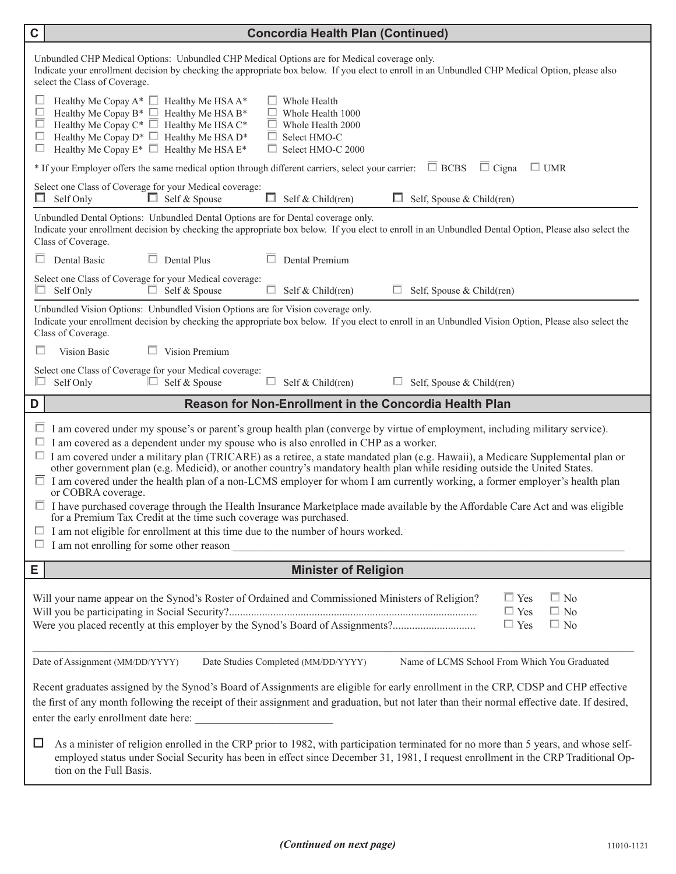| $\mathbf C$                                                                                                                                                                                                                                                                                                                                                                                                                                                                                                                                                                                                                                                                                                                                                                                                                                                                                                                                                                                                               | <b>Concordia Health Plan (Continued)</b>                                                                                                                                                                                                                                                                                                                                 |  |  |  |  |  |  |  |
|---------------------------------------------------------------------------------------------------------------------------------------------------------------------------------------------------------------------------------------------------------------------------------------------------------------------------------------------------------------------------------------------------------------------------------------------------------------------------------------------------------------------------------------------------------------------------------------------------------------------------------------------------------------------------------------------------------------------------------------------------------------------------------------------------------------------------------------------------------------------------------------------------------------------------------------------------------------------------------------------------------------------------|--------------------------------------------------------------------------------------------------------------------------------------------------------------------------------------------------------------------------------------------------------------------------------------------------------------------------------------------------------------------------|--|--|--|--|--|--|--|
|                                                                                                                                                                                                                                                                                                                                                                                                                                                                                                                                                                                                                                                                                                                                                                                                                                                                                                                                                                                                                           | Unbundled CHP Medical Options: Unbundled CHP Medical Options are for Medical coverage only.<br>Indicate your enrollment decision by checking the appropriate box below. If you elect to enroll in an Unbundled CHP Medical Option, please also<br>select the Class of Coverage.                                                                                          |  |  |  |  |  |  |  |
| □<br>□<br>□<br>□                                                                                                                                                                                                                                                                                                                                                                                                                                                                                                                                                                                                                                                                                                                                                                                                                                                                                                                                                                                                          | Healthy Me Copay $A^*$ $\Box$ Healthy Me HSA $A^*$<br>Whole Health<br>Healthy Me Copay B* $\Box$ Healthy Me HSA B*<br>Whole Health 1000<br>Healthy Me Copay $C^*$ $\Box$ Healthy Me HSA $C^*$<br>Whole Health 2000<br>Healthy Me Copay $D^*$ $\Box$ Healthy Me HSA $D^*$<br>Select HMO-C<br>ப<br>Healthy Me Copay $E^*$ $\Box$ Healthy Me HSA $E^*$<br>Select HMO-C 2000 |  |  |  |  |  |  |  |
|                                                                                                                                                                                                                                                                                                                                                                                                                                                                                                                                                                                                                                                                                                                                                                                                                                                                                                                                                                                                                           | $*$ If your Employer offers the same medical option through different carriers, select your carrier: $\Box$ BCBS<br>$\Box$ UMR<br>$\Box$ Cigna                                                                                                                                                                                                                           |  |  |  |  |  |  |  |
|                                                                                                                                                                                                                                                                                                                                                                                                                                                                                                                                                                                                                                                                                                                                                                                                                                                                                                                                                                                                                           | Select one Class of Coverage for your Medical coverage:<br>Self Only<br>$\Box$ Self & Spouse<br>$\Box$<br>Self & Child(ren)<br>Self, Spouse & Child(ren)<br>$\Box$                                                                                                                                                                                                       |  |  |  |  |  |  |  |
| Unbundled Dental Options: Unbundled Dental Options are for Dental coverage only.<br>Indicate your enrollment decision by checking the appropriate box below. If you elect to enroll in an Unbundled Dental Option, Please also select the<br>Class of Coverage.                                                                                                                                                                                                                                                                                                                                                                                                                                                                                                                                                                                                                                                                                                                                                           |                                                                                                                                                                                                                                                                                                                                                                          |  |  |  |  |  |  |  |
|                                                                                                                                                                                                                                                                                                                                                                                                                                                                                                                                                                                                                                                                                                                                                                                                                                                                                                                                                                                                                           | Dental Basic<br>$\Box$ Dental Plus<br>Dental Premium                                                                                                                                                                                                                                                                                                                     |  |  |  |  |  |  |  |
| ш                                                                                                                                                                                                                                                                                                                                                                                                                                                                                                                                                                                                                                                                                                                                                                                                                                                                                                                                                                                                                         | Select one Class of Coverage for your Medical coverage:<br>Self Only<br>$\Box$ Self & Spouse<br>Self & Child(ren)<br>ш<br>Self, Spouse & Child(ren)                                                                                                                                                                                                                      |  |  |  |  |  |  |  |
| Unbundled Vision Options: Unbundled Vision Options are for Vision coverage only.<br>Indicate your enrollment decision by checking the appropriate box below. If you elect to enroll in an Unbundled Vision Option, Please also select the<br>Class of Coverage.                                                                                                                                                                                                                                                                                                                                                                                                                                                                                                                                                                                                                                                                                                                                                           |                                                                                                                                                                                                                                                                                                                                                                          |  |  |  |  |  |  |  |
| ш                                                                                                                                                                                                                                                                                                                                                                                                                                                                                                                                                                                                                                                                                                                                                                                                                                                                                                                                                                                                                         | $\Box$ Vision Premium<br>Vision Basic                                                                                                                                                                                                                                                                                                                                    |  |  |  |  |  |  |  |
| □                                                                                                                                                                                                                                                                                                                                                                                                                                                                                                                                                                                                                                                                                                                                                                                                                                                                                                                                                                                                                         | Select one Class of Coverage for your Medical coverage:<br>Self Only<br>$\Box$ Self & Spouse<br>□<br>Self & Child(ren)<br>Self, Spouse & Child(ren)                                                                                                                                                                                                                      |  |  |  |  |  |  |  |
| D                                                                                                                                                                                                                                                                                                                                                                                                                                                                                                                                                                                                                                                                                                                                                                                                                                                                                                                                                                                                                         | <b>Reason for Non-Enrollment in the Concordia Health Plan</b>                                                                                                                                                                                                                                                                                                            |  |  |  |  |  |  |  |
| $\Box$ I am covered under my spouse's or parent's group health plan (converge by virtue of employment, including military service).<br>$\Box$ I am covered as a dependent under my spouse who is also enrolled in CHP as a worker.<br>$\Box$ I am covered under a military plan (TRICARE) as a retiree, a state mandated plan (e.g. Hawaii), a Medicare Supplemental plan or<br>other government plan (e.g. Medicid), or another country's mandatory health plan while residing outside the United States.<br>$\Box$ I am covered under the health plan of a non-LCMS employer for whom I am currently working, a former employer's health plan<br>or COBRA coverage.<br>$\Box$ I have purchased coverage through the Health Insurance Marketplace made available by the Affordable Care Act and was eligible<br>for a Premium Tax Credit at the time such coverage was purchased.<br>$\Box$ I am not eligible for enrollment at this time due to the number of hours worked.<br>I am not enrolling for some other reason |                                                                                                                                                                                                                                                                                                                                                                          |  |  |  |  |  |  |  |
| Е                                                                                                                                                                                                                                                                                                                                                                                                                                                                                                                                                                                                                                                                                                                                                                                                                                                                                                                                                                                                                         | <b>Minister of Religion</b>                                                                                                                                                                                                                                                                                                                                              |  |  |  |  |  |  |  |
| $\Box$ Yes<br>Will your name appear on the Synod's Roster of Ordained and Commissioned Ministers of Religion?<br>$\Box$ No<br>$\Box$ Yes<br>$\Box$ No<br>Were you placed recently at this employer by the Synod's Board of Assignments?<br>$\Box$ Yes<br>$\Box$ No                                                                                                                                                                                                                                                                                                                                                                                                                                                                                                                                                                                                                                                                                                                                                        |                                                                                                                                                                                                                                                                                                                                                                          |  |  |  |  |  |  |  |
| Date of Assignment (MM/DD/YYYY)<br>Name of LCMS School From Which You Graduated<br>Date Studies Completed (MM/DD/YYYY)                                                                                                                                                                                                                                                                                                                                                                                                                                                                                                                                                                                                                                                                                                                                                                                                                                                                                                    |                                                                                                                                                                                                                                                                                                                                                                          |  |  |  |  |  |  |  |
| Recent graduates assigned by the Synod's Board of Assignments are eligible for early enrollment in the CRP, CDSP and CHP effective<br>the first of any month following the receipt of their assignment and graduation, but not later than their normal effective date. If desired,<br>enter the early enrollment date here:                                                                                                                                                                                                                                                                                                                                                                                                                                                                                                                                                                                                                                                                                               |                                                                                                                                                                                                                                                                                                                                                                          |  |  |  |  |  |  |  |
| □                                                                                                                                                                                                                                                                                                                                                                                                                                                                                                                                                                                                                                                                                                                                                                                                                                                                                                                                                                                                                         | As a minister of religion enrolled in the CRP prior to 1982, with participation terminated for no more than 5 years, and whose self-<br>employed status under Social Security has been in effect since December 31, 1981, I request enrollment in the CRP Traditional Op-<br>tion on the Full Basis.                                                                     |  |  |  |  |  |  |  |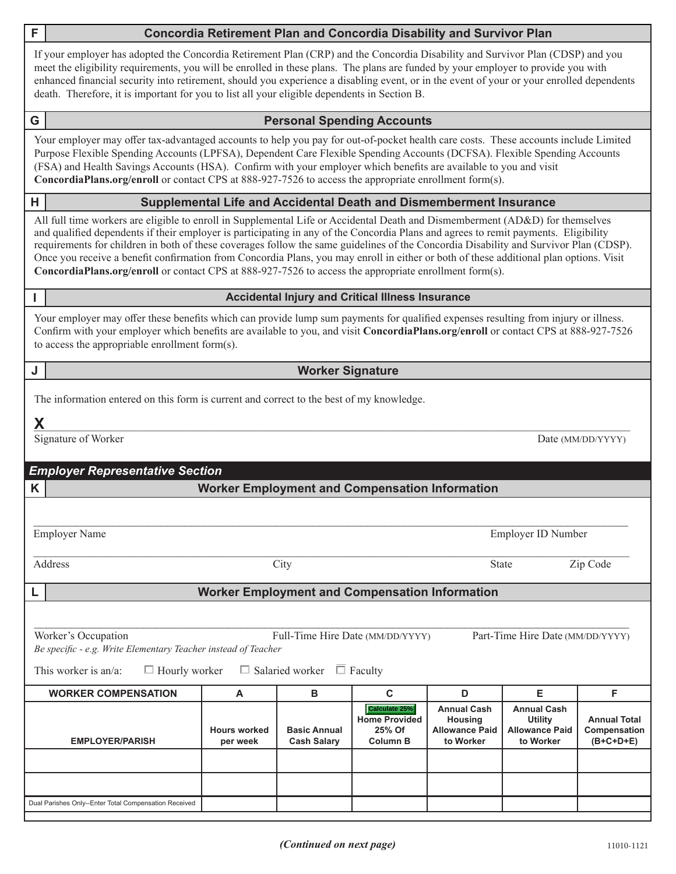| F.                                                                                                                                                                                                                                                     |                                                                                                                                                                                                                                                                                                                                                                                                                                                                                                                                                                                                                                                                   |                                 |                                           | <b>Concordia Retirement Plan and Concordia Disability and Survivor Plan</b> |                                                                            |                                                                     |                                                    |  |  |  |
|--------------------------------------------------------------------------------------------------------------------------------------------------------------------------------------------------------------------------------------------------------|-------------------------------------------------------------------------------------------------------------------------------------------------------------------------------------------------------------------------------------------------------------------------------------------------------------------------------------------------------------------------------------------------------------------------------------------------------------------------------------------------------------------------------------------------------------------------------------------------------------------------------------------------------------------|---------------------------------|-------------------------------------------|-----------------------------------------------------------------------------|----------------------------------------------------------------------------|---------------------------------------------------------------------|----------------------------------------------------|--|--|--|
|                                                                                                                                                                                                                                                        | If your employer has adopted the Concordia Retirement Plan (CRP) and the Concordia Disability and Survivor Plan (CDSP) and you<br>meet the eligibility requirements, you will be enrolled in these plans. The plans are funded by your employer to provide you with<br>enhanced financial security into retirement, should you experience a disabling event, or in the event of your or your enrolled dependents<br>death. Therefore, it is important for you to list all your eligible dependents in Section B.                                                                                                                                                  |                                 |                                           |                                                                             |                                                                            |                                                                     |                                                    |  |  |  |
| G                                                                                                                                                                                                                                                      |                                                                                                                                                                                                                                                                                                                                                                                                                                                                                                                                                                                                                                                                   |                                 |                                           | <b>Personal Spending Accounts</b>                                           |                                                                            |                                                                     |                                                    |  |  |  |
|                                                                                                                                                                                                                                                        | Your employer may offer tax-advantaged accounts to help you pay for out-of-pocket health care costs. These accounts include Limited<br>Purpose Flexible Spending Accounts (LPFSA), Dependent Care Flexible Spending Accounts (DCFSA). Flexible Spending Accounts<br>(FSA) and Health Savings Accounts (HSA). Confirm with your employer which benefits are available to you and visit<br>ConcordiaPlans.org/enroll or contact CPS at 888-927-7526 to access the appropriate enrollment form(s).                                                                                                                                                                   |                                 |                                           |                                                                             |                                                                            |                                                                     |                                                    |  |  |  |
| н                                                                                                                                                                                                                                                      | Supplemental Life and Accidental Death and Dismemberment Insurance                                                                                                                                                                                                                                                                                                                                                                                                                                                                                                                                                                                                |                                 |                                           |                                                                             |                                                                            |                                                                     |                                                    |  |  |  |
|                                                                                                                                                                                                                                                        | All full time workers are eligible to enroll in Supplemental Life or Accidental Death and Dismemberment (AD&D) for themselves<br>and qualified dependents if their employer is participating in any of the Concordia Plans and agrees to remit payments. Eligibility<br>requirements for children in both of these coverages follow the same guidelines of the Concordia Disability and Survivor Plan (CDSP).<br>Once you receive a benefit confirmation from Concordia Plans, you may enroll in either or both of these additional plan options. Visit<br>ConcordiaPlans.org/enroll or contact CPS at 888-927-7526 to access the appropriate enrollment form(s). |                                 |                                           |                                                                             |                                                                            |                                                                     |                                                    |  |  |  |
|                                                                                                                                                                                                                                                        |                                                                                                                                                                                                                                                                                                                                                                                                                                                                                                                                                                                                                                                                   |                                 |                                           | <b>Accidental Injury and Critical Illness Insurance</b>                     |                                                                            |                                                                     |                                                    |  |  |  |
|                                                                                                                                                                                                                                                        | Your employer may offer these benefits which can provide lump sum payments for qualified expenses resulting from injury or illness.<br>Confirm with your employer which benefits are available to you, and visit ConcordiaPlans.org/enroll or contact CPS at 888-927-7526<br>to access the appropriable enrollment form(s).                                                                                                                                                                                                                                                                                                                                       |                                 |                                           |                                                                             |                                                                            |                                                                     |                                                    |  |  |  |
| J                                                                                                                                                                                                                                                      |                                                                                                                                                                                                                                                                                                                                                                                                                                                                                                                                                                                                                                                                   |                                 | <b>Worker Signature</b>                   |                                                                             |                                                                            |                                                                     |                                                    |  |  |  |
|                                                                                                                                                                                                                                                        | The information entered on this form is current and correct to the best of my knowledge.<br>Χ<br>Signature of Worker<br>Date (MM/DD/YYYY)                                                                                                                                                                                                                                                                                                                                                                                                                                                                                                                         |                                 |                                           |                                                                             |                                                                            |                                                                     |                                                    |  |  |  |
|                                                                                                                                                                                                                                                        | <b>Employer Representative Section</b>                                                                                                                                                                                                                                                                                                                                                                                                                                                                                                                                                                                                                            |                                 |                                           |                                                                             |                                                                            |                                                                     |                                                    |  |  |  |
| Κ                                                                                                                                                                                                                                                      |                                                                                                                                                                                                                                                                                                                                                                                                                                                                                                                                                                                                                                                                   |                                 |                                           | <b>Worker Employment and Compensation Information</b>                       |                                                                            |                                                                     |                                                    |  |  |  |
|                                                                                                                                                                                                                                                        | <b>Employer Name</b>                                                                                                                                                                                                                                                                                                                                                                                                                                                                                                                                                                                                                                              |                                 |                                           |                                                                             |                                                                            | Employer ID Number                                                  |                                                    |  |  |  |
|                                                                                                                                                                                                                                                        | Address                                                                                                                                                                                                                                                                                                                                                                                                                                                                                                                                                                                                                                                           | City<br><b>State</b>            |                                           |                                                                             |                                                                            | Zip Code                                                            |                                                    |  |  |  |
| L                                                                                                                                                                                                                                                      |                                                                                                                                                                                                                                                                                                                                                                                                                                                                                                                                                                                                                                                                   |                                 |                                           | <b>Worker Employment and Compensation Information</b>                       |                                                                            |                                                                     |                                                    |  |  |  |
|                                                                                                                                                                                                                                                        |                                                                                                                                                                                                                                                                                                                                                                                                                                                                                                                                                                                                                                                                   |                                 |                                           |                                                                             |                                                                            |                                                                     |                                                    |  |  |  |
| Worker's Occupation<br>Full-Time Hire Date (MM/DD/YYYY)<br>Part-Time Hire Date (MM/DD/YYYY)<br>Be specific - e.g. Write Elementary Teacher instead of Teacher<br>$\Box$ Hourly worker<br>$\Box$ Salaried worker $\Box$ Faculty<br>This worker is an/a: |                                                                                                                                                                                                                                                                                                                                                                                                                                                                                                                                                                                                                                                                   |                                 |                                           |                                                                             |                                                                            |                                                                     |                                                    |  |  |  |
|                                                                                                                                                                                                                                                        | <b>WORKER COMPENSATION</b>                                                                                                                                                                                                                                                                                                                                                                                                                                                                                                                                                                                                                                        | A                               | В                                         | C                                                                           | D                                                                          | Е                                                                   | F                                                  |  |  |  |
|                                                                                                                                                                                                                                                        | <b>EMPLOYER/PARISH</b>                                                                                                                                                                                                                                                                                                                                                                                                                                                                                                                                                                                                                                            | <b>Hours worked</b><br>per week | <b>Basic Annual</b><br><b>Cash Salary</b> | Calculate 25%<br><b>Home Provided</b><br>25% Of<br>Column B                 | <b>Annual Cash</b><br><b>Housing</b><br><b>Allowance Paid</b><br>to Worker | <b>Annual Cash</b><br>Utility<br><b>Allowance Paid</b><br>to Worker | <b>Annual Total</b><br>Compensation<br>$(B+C+D+E)$ |  |  |  |
|                                                                                                                                                                                                                                                        |                                                                                                                                                                                                                                                                                                                                                                                                                                                                                                                                                                                                                                                                   |                                 |                                           |                                                                             |                                                                            |                                                                     |                                                    |  |  |  |
|                                                                                                                                                                                                                                                        |                                                                                                                                                                                                                                                                                                                                                                                                                                                                                                                                                                                                                                                                   |                                 |                                           |                                                                             |                                                                            |                                                                     |                                                    |  |  |  |

٦